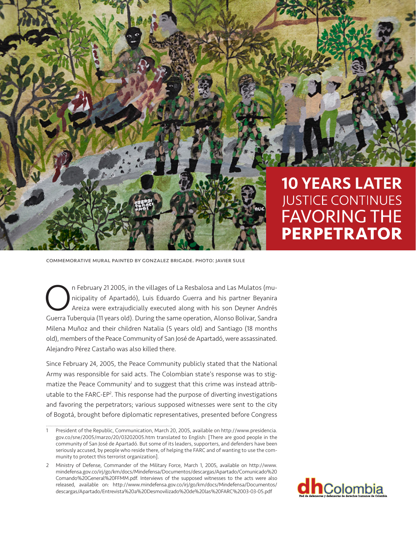

## **10 YEARS LATER JUSTICE CONTINUES FAVORING THE PERPETRATOR**

commemorative mural painted by gonzalez brigade. photo: javier sule

n February 21 2005, in the villages of La Resbalosa and Las Mulatos (municipality of Apartadó), Luis Eduardo Guerra and his partner Beyanira Areiza were extrajudicially executed along with his son Deyner Andrés Guerra Tuberquia (11 years old). During the same operation, Alonso Bolivar, Sandra Milena Muñoz and their children Natalia (5 years old) and Santiago (18 months old), members of the Peace Community of San José de Apartadó, were assassinated. Alejandro Pérez Castaño was also killed there.

Since February 24, 2005, the Peace Community publicly stated that the National Army was responsible for said acts. The Colombian state's response was to stigmatize the Peace Community<sup>1</sup> and to suggest that this crime was instead attributable to the FARC-EP<sup>2</sup>. This response had the purpose of diverting investigations and favoring the perpetrators; various supposed witnesses were sent to the city of Bogotá, brought before diplomatic representatives, presented before Congress

<sup>2</sup> Ministry of Defense, Commander of the Military Force, March 1, 2005, available on http://www. mindefensa.gov.co/irj/go/km/docs/Mindefensa/Documentos/descargas/Apartado/Comunicado%20 Comando%20General%20FFMM.pdf. Interviews of the supposed witnesses to the acts were also released, available on: http://www.mindefensa.gov.co/irj/go/km/docs/Mindefensa/Documentos/ descargas/Apartado/Entrevista%20a%20Desmovilizado%20de%20las%20FARC%2003-03-05.pdf



<sup>1</sup> President of the Republic, Communication, March 20, 2005, available on http://www.presidencia. gov.co/sne/2005/marzo/20/03202005.htm translated to English: [There are good people in the community of San José de Apartadó. But some of its leaders, supporters, and defenders have been seriously accused, by people who reside there, of helping the FARC and of wanting to use the community to protect this terrorist organization].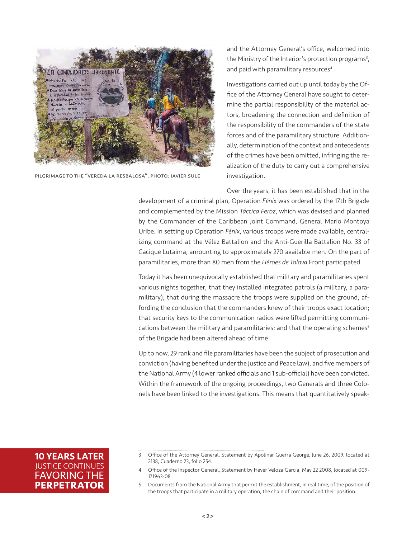

pilgrimage to the "vereda la resbalosa". photo: javier sule

and the Attorney General's office, welcomed into the Ministry of the Interior's protection programs<sup>3</sup>, and paid with paramilitary resources<sup>4</sup>.

Investigations carried out up until today by the Office of the Attorney General have sought to determine the partial responsibility of the material actors, broadening the connection and definition of the responsibility of the commanders of the state forces and of the paramilitary structure. Additionally, determination of the context and antecedents of the crimes have been omitted, infringing the realization of the duty to carry out a comprehensive investigation.

Over the years, it has been established that in the

development of a criminal plan, Operation *Fénix* was ordered by the 17th Brigade and complemented by the Mission *Táctica Feroz*, which was devised and planned by the Commander of the Caribbean Joint Command, General Mario Montoya Uribe. In setting up Operation *Fénix*, various troops were made available, centralizing command at the Vélez Battalion and the Anti-Guerilla Battalion No. 33 of Cacique Lutaima, amounting to approximately 270 available men. On the part of paramilitaries, more than 80 men from the *Héroes de Tolova* Front participated.

Today it has been unequivocally established that military and paramilitaries spent various nights together; that they installed integrated patrols (a military, a paramilitary); that during the massacre the troops were supplied on the ground, affording the conclusion that the commanders knew of their troops exact location; that security keys to the communication radios were lifted permitting communications between the military and paramilitaries; and that the operating schemes<sup>5</sup> of the Brigade had been altered ahead of time.

Up to now, 29 rank and file paramilitaries have been the subject of prosecution and conviction (having benefited under the Justice and Peace law), and five members of the National Army (4 lower ranked officials and 1 sub-official) have been convicted. Within the framework of the ongoing proceedings, two Generals and three Colonels have been linked to the investigations. This means that quantitatively speak-

**10 YEARS LATER IUSTICE CONTINUES FAVORING THE PERPETRATOR** 

<sup>3</sup> Office of the Attorney General, Statement by Apolinar Guerra George, June 26, 2009, located at 2138, Cuaderno 23, folio 254.

<sup>4</sup> Office of the Inspector General, Statement by Hever Veloza García, May 22 2008, located at 009- 171963-08

<sup>5</sup> Documents from the National Army that permit the establishment, in real time, of the position of the troops that participate in a military operation, the chain of command and their position.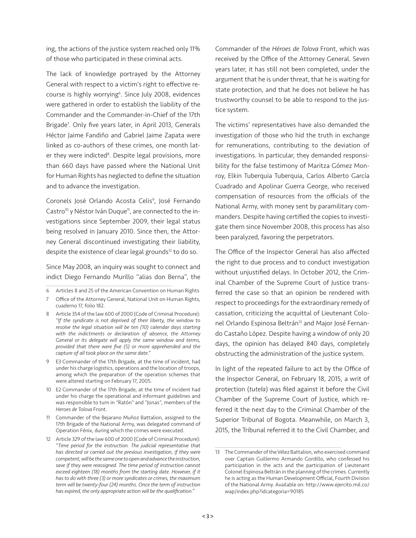ing, the actions of the justice system reached only 11% of those who participated in these criminal acts.

The lack of knowledge portrayed by the Attorney General with respect to a victim's right to effective recourse is highly worrying<sup>6</sup>. Since July 2008, evidences were gathered in order to establish the liability of the Commander and the Commander-in-Chief of the 17th Brigade<sup>7</sup>. Only five years later, in April 2013, Generals Héctor Jaime Fandiño and Gabriel Jaime Zapata were linked as co-authors of these crimes, one month later they were indicted<sup>8</sup>. Despite legal provisions, more than 660 days have passed where the National Unit for Human Rights has neglected to define the situation and to advance the investigation.

Coronels José Orlando Acosta Celis<sup>9</sup>, José Fernando Castro<sup>10</sup> y Néstor Iván Duque<sup>11</sup>, are connected to the investigations since September 2009, their legal status being resolved in January 2010. Since then, the Attorney General discontinued investigating their liability, despite the existence of clear legal grounds<sup>12</sup> to do so.

Since May 2008, an inquiry was sought to connect and indict Diego Fernando Murillo "alias don Berna", the

- 10 E2 Commander of the 17th Brigade, at the time of incident had under his charge the operational and informant guidelines and was responsible to turn in "Ratón" and "Jonas", members of the *Heroes de Tolova* Front.
- 11 Commander of the Bejarano Muñoz Battalion, assigned to the 17th Brigade of the National Army, was delegated command of Operation Fénix, during which the crimes were executed.

Commander of the *Héroes de Tolova* Front, which was received by the Office of the Attorney General. Seven years later, it has still not been completed, under the argument that he is under threat, that he is waiting for state protection, and that he does not believe he has trustworthy counsel to be able to respond to the justice system.

The victims' representatives have also demanded the investigation of those who hid the truth in exchange for remunerations, contributing to the deviation of investigations. In particular, they demanded responsibility for the false testimony of Maritza Gómez Monroy, Elkin Tuberquia Tuberquia, Carlos Alberto García Cuadrado and Apolinar Guerra George, who received compensation of resources from the officials of the National Army, with money sent by paramilitary commanders. Despite having certified the copies to investigate them since November 2008, this process has also been paralyzed, favoring the perpetrators.

The Office of the Inspector General has also affected the right to due process and to conduct investigation without unjustified delays. In October 2012, the Criminal Chamber of the Supreme Court of Justice transferred the case so that an opinion be rendered with respect to proceedings for the extraordinary remedy of cassation, criticizing the acquittal of Lieutenant Colonel Orlando Espinosa Beltrán<sup>13</sup> and Major José Fernando Castaño López. Despite having a window of only 20 days, the opinion has delayed 840 days, completely obstructing the administration of the justice system.

In light of the repeated failure to act by the Office of the Inspector General, on February 18, 2015, a writ of protection (*tutela*) was filed against it before the Civil Chamber of the Supreme Court of Justice, which referred it the next day to the Criminal Chamber of the Superior Tribunal of Bogota. Meanwhile, on March 3, 2015, the Tribunal referred it to the Civil Chamber, and

<sup>6</sup> Articles 8 and 25 of the American Convention on Human Rights

<sup>7</sup> Office of the Attorney General, National Unit on Human Rights, cuaderno 17, folio 182.

<sup>8</sup> Article 354 of the law 600 of 2000 (Code of Criminal Procedure): *"If the syndicate is not deprived of their liberty, the window to resolve the legal situation will be ten (10) calendar days starting with the indictments or declaration of absence, the Attorney General or its delegate will apply the same window and terms, provided that there were five (5) or more apprehended and the capture of all took place on the same date."*

<sup>9</sup> E3 Commander of the 17th Brigade, at the time of incident, had under his charge logistics, operations and the location of troops, among which the preparation of the operation schemes that were altered starting on February 17, 2005.

<sup>12</sup> Article 329 of the law 600 of 2000 (Code of Criminal Procedure): *"Time period for the instruction. The judicial representative that has directed or carried out the previous investigation, if they were competent, will be the same one to open and advance the instruction, save if they were reassigned. The time period of instruction cannot exceed eighteen (18) months from the starting date. However, if it has to do with three (3) or more syndicates or crimes, the maximum term will be twenty-four (24) months. Once the term of instruction has expired, the only appropriate action will be the qualification."*

<sup>13</sup> The Commander of the Vélez Battalion, who exercised command over Captain Guillermo Armando Gordillo, who confessed his participation in the acts and the participation of Lieutenant Colonel Espinosa Beltrán in the planning of the crimes. Currently he is acting as the Human Development Official, Fourth Division of the National Army. Available on: http://www.ejercito.mil.co/ wap/index.php?idcategoria=90185